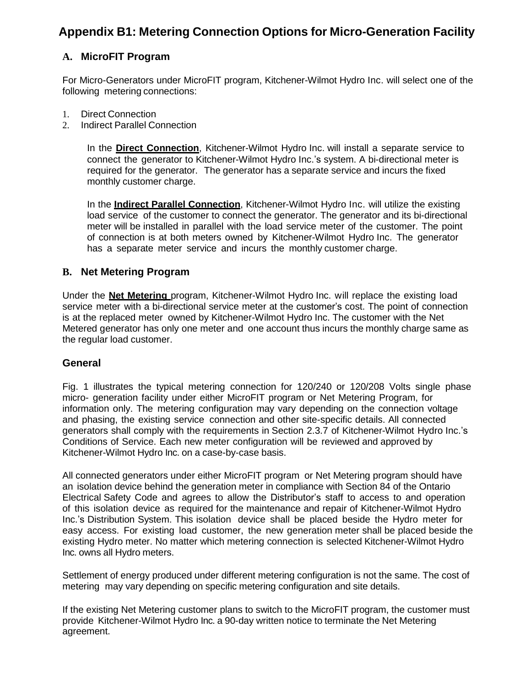## **Appendix B1: Metering Connection Options for Micro-Generation Facility**

## **A. MicroFIT Program**

For Micro-Generators under MicroFIT program, Kitchener-Wilmot Hydro Inc. will select one of the following metering connections:

- 1. Direct Connection
- 2. Indirect Parallel Connection

In the **Direct Connection**, Kitchener-Wilmot Hydro Inc. will install a separate service to connect the generator to Kitchener-Wilmot Hydro Inc.'s system. A bi-directional meter is required for the generator. The generator has a separate service and incurs the fixed monthly customer charge.

In the **Indirect Parallel Connection**, Kitchener-Wilmot Hydro Inc. will utilize the existing load service of the customer to connect the generator. The generator and its bi-directional meter will be installed in parallel with the load service meter of the customer. The point of connection is at both meters owned by Kitchener-Wilmot Hydro Inc. The generator has a separate meter service and incurs the monthly customer charge.

## **B. Net Metering Program**

Under the **Net Metering** program, Kitchener-Wilmot Hydro Inc. will replace the existing load service meter with a bi-directional service meter at the customer's cost. The point of connection is at the replaced meter owned by Kitchener-Wilmot Hydro Inc. The customer with the Net Metered generator has only one meter and one account thus incurs the monthly charge same as the regular load customer.

## **General**

Fig. 1 illustrates the typical metering connection for 120/240 or 120/208 Volts single phase micro- generation facility under either MicroFIT program or Net Metering Program, for information only. The metering configuration may vary depending on the connection voltage and phasing, the existing service connection and other site-specific details. All connected generators shall comply with the requirements in Section 2.3.7 of Kitchener-Wilmot Hydro Inc.'s Conditions of Service. Each new meter configuration will be reviewed and approved by Kitchener-Wilmot Hydro Inc. on a case-by-case basis.

All connected generators under either MicroFIT program or Net Metering program should have an isolation device behind the generation meter in compliance with Section 84 of the Ontario Electrical Safety Code and agrees to allow the Distributor's staff to access to and operation of this isolation device as required for the maintenance and repair of Kitchener-Wilmot Hydro Inc.'s Distribution System. This isolation device shall be placed beside the Hydro meter for easy access. For existing load customer, the new generation meter shall be placed beside the existing Hydro meter. No matter which metering connection is selected Kitchener-Wilmot Hydro Inc. owns all Hydro meters.

Settlement of energy produced under different metering configuration is not the same. The cost of metering may vary depending on specific metering configuration and site details.

If the existing Net Metering customer plans to switch to the MicroFIT program, the customer must provide Kitchener-Wilmot Hydro Inc. a 90-day written notice to terminate the Net Metering agreement.